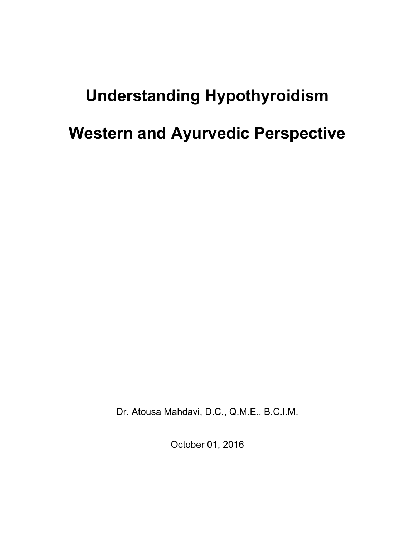# Understanding Hypothyroidism Western and Ayurvedic Perspective

Dr. Atousa Mahdavi, D.C., Q.M.E., B.C.I.M.

October 01, 2016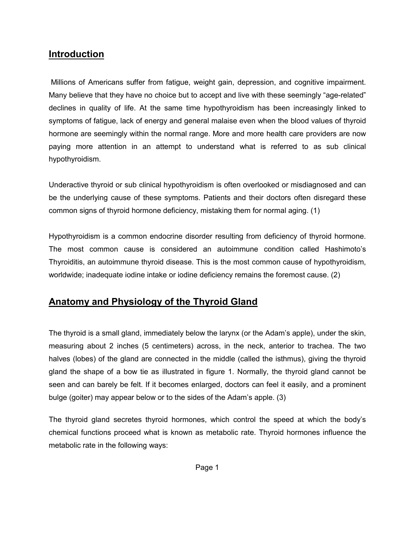#### Introduction

Millions of Americans suffer from fatigue, weight gain, depression, and cognitive impairment. Many believe that they have no choice but to accept and live with these seemingly "age-related" declines in quality of life. At the same time hypothyroidism has been increasingly linked to symptoms of fatigue, lack of energy and general malaise even when the blood values of thyroid hormone are seemingly within the normal range. More and more health care providers are now paying more attention in an attempt to understand what is referred to as sub clinical hypothyroidism.

Underactive thyroid or sub clinical hypothyroidism is often overlooked or misdiagnosed and can be the underlying cause of these symptoms. Patients and their doctors often disregard these common signs of thyroid hormone deficiency, mistaking them for normal aging. (1)

Hypothyroidism is a common endocrine disorder resulting from deficiency of thyroid hormone. The most common cause is considered an autoimmune condition called Hashimoto's Thyroiditis, an autoimmune thyroid disease. This is the most common cause of hypothyroidism, worldwide; inadequate iodine intake or iodine deficiency remains the foremost cause. (2)

# Anatomy and Physiology of the Thyroid Gland

The thyroid is a small gland, immediately below the larynx (or the Adam's apple), under the skin, measuring about 2 inches (5 centimeters) across, in the neck, anterior to trachea. The two halves (lobes) of the gland are connected in the middle (called the isthmus), giving the thyroid gland the shape of a bow tie as illustrated in figure 1. Normally, the thyroid gland cannot be seen and can barely be felt. If it becomes enlarged, doctors can feel it easily, and a prominent bulge (goiter) may appear below or to the sides of the Adam's apple. (3)

The thyroid gland secretes thyroid hormones, which control the speed at which the body's chemical functions proceed what is known as metabolic rate. Thyroid hormones influence the metabolic rate in the following ways: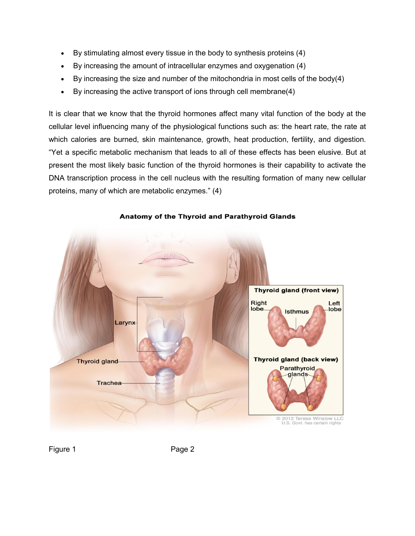- By stimulating almost every tissue in the body to synthesis proteins (4)
- By increasing the amount of intracellular enzymes and oxygenation (4)
- By increasing the size and number of the mitochondria in most cells of the body(4)
- By increasing the active transport of ions through cell membrane(4)

It is clear that we know that the thyroid hormones affect many vital function of the body at the cellular level influencing many of the physiological functions such as: the heart rate, the rate at which calories are burned, skin maintenance, growth, heat production, fertility, and digestion. "Yet a specific metabolic mechanism that leads to all of these effects has been elusive. But at present the most likely basic function of the thyroid hormones is their capability to activate the DNA transcription process in the cell nucleus with the resulting formation of many new cellular proteins, many of which are metabolic enzymes." (4)



#### Anatomy of the Thyroid and Parathyroid Glands

Figure 1 Page 2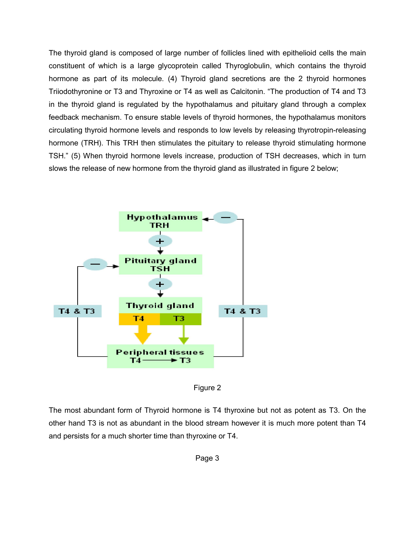The thyroid gland is composed of large number of follicles lined with epithelioid cells the main constituent of which is a large glycoprotein called Thyroglobulin, which contains the thyroid hormone as part of its molecule. (4) Thyroid gland secretions are the 2 thyroid hormones Triiodothyronine or T3 and Thyroxine or T4 as well as Calcitonin. "The production of T4 and T3 in the thyroid gland is regulated by the hypothalamus and pituitary gland through a complex feedback mechanism. To ensure stable levels of thyroid hormones, the hypothalamus monitors circulating thyroid hormone levels and responds to low levels by releasing thyrotropin hormone (TRH). This TRH then stimulates the pituitary to release thyroid stimulating hormone hormone (TRH). This TRH then stimulates the pituitary to release thyroid stimulating hormone<br>TSH." (5) When thyroid hormone levels increase, production of TSH decreases, which in turn slows the release of new hormone from the thyroid gland as illustrated in figure 2 below; . To ensure stable levels of thyroid hormones, the hypothalamus monitors<br>mone levels and responds to low levels by releasing thyrotropin-releasing<br>TRH then stimulates the pituitary to release thyroid stimulating hormone nolecule. (4) Thyroid gland secretions are the 2 thyroid hormones<br>I Thyroxine or T4 as well as Calcitonin. "The production of T4 and T3<br>gulated by the hypothalamus and pituitary gland through a complex<br>ensure stable levels



Figure 2

The most abundant form of Thyroid hormone is T4 thyroxine but not as potent as T3. On the other hand T3 is not as abundant in the blood stream however it is much more and persists for a much shorter time than thyroxine or T4.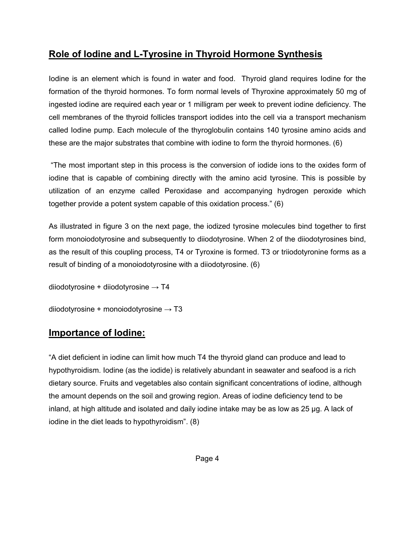# Role of Iodine and L-Tyrosine in Thyroid Hormone Synthesis

Iodine is an element which is found in water and food. Thyroid gland requires Iodine for the formation of the thyroid hormones. To form normal levels of Thyroxine approximately 50 mg of ingested iodine are required each year or 1 milligram per week to prevent iodine deficiency. The cell membranes of the thyroid follicles transport iodides into the cell via a transport mechanism called Iodine pump. Each molecule of the thyroglobulin contains 140 tyrosine amino acids and these are the major substrates that combine with iodine to form the thyroid hormones. (6)

"The most important step in this process is the conversion of iodide ions to the oxides form of iodine that is capable of combining directly with the amino acid tyrosine. This is possible by utilization of an enzyme called Peroxidase and accompanying hydrogen peroxide which together provide a potent system capable of this oxidation process." (6)

As illustrated in figure 3 on the next page, the iodized tyrosine molecules bind together to first form monoiodotyrosine and subsequently to diiodotyrosine. When 2 of the diiodotyrosines bind, as the result of this coupling process, T4 or Tyroxine is formed. T3 or triiodotyronine forms as a result of binding of a monoiodotyrosine with a diiodotyrosine. (6)

```
diiodotyrosine + diiodotyrosine \rightarrow T4
diiodotyrosine + monoiodotyrosine \rightarrow T3
```
# Importance of Iodine:

"A diet deficient in iodine can limit how much T4 the thyroid gland can produce and lead to hypothyroidism. Iodine (as the iodide) is relatively abundant in seawater and seafood is a rich dietary source. Fruits and vegetables also contain significant concentrations of iodine, although the amount depends on the soil and growing region. Areas of iodine deficiency tend to be inland, at high altitude and isolated and daily iodine intake may be as low as 25 μg. A lack of iodine in the diet leads to hypothyroidism". (8)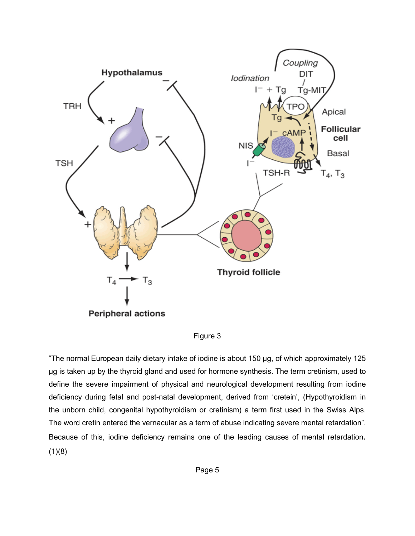

Figure 3

"The normal European daily dietary intake of iodine is about 150 μg, of which approximately 125 μg is taken up by the thyroid gland and used for hormone synthesis. The term cretinism, used to define the severe impairment of physical and neurological development resulting from iodine deficiency during fetal and post-natal development, derived from 'cretein', (Hypothyroidism in the unborn child, congenital hypothyroidism or cretinism) a term first used in the Swiss Alps. The word cretin entered the vernacular as a term of abuse indicating severe mental retardation". Because of this, iodine deficiency remains one of the leading causes of mental retardation.  $(1)(8)$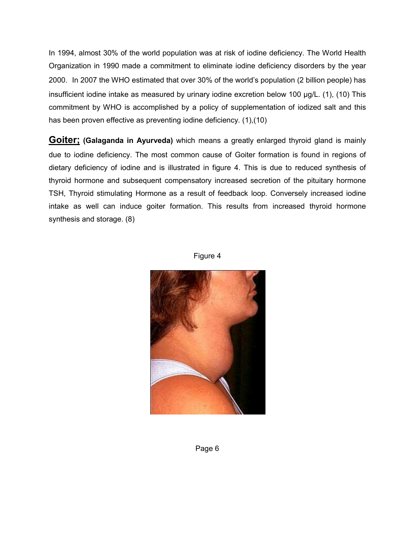In 1994, almost 30% of the world population was at risk of iodine deficiency. The World Health Organization in 1990 made a commitment to eliminate iodine deficiency disorders by the year 2000. In 2007 the WHO estimated that over 30% of the world's population (2 billion people) has insufficient iodine intake as measured by urinary iodine excretion below 100 µg/L. (1), (10) This commitment by WHO is accomplished by a policy of supplementation of iodized salt and this has been proven effective as preventing iodine deficiency. (1),(10)

Goiter; (Galaganda in Ayurveda) which means a greatly enlarged thyroid gland is mainly due to iodine deficiency. The most common cause of Goiter formation is found in regions of dietary deficiency of iodine and is illustrated in figure 4. This is due to reduced synthesis of thyroid hormone and subsequent compensatory increased secretion of the pituitary hormone TSH, Thyroid stimulating Hormone as a result of feedback loop. Conversely increased iodine intake as well can induce goiter formation. This results from increased thyroid hormone synthesis and storage. (8)



Figure 4

Page 6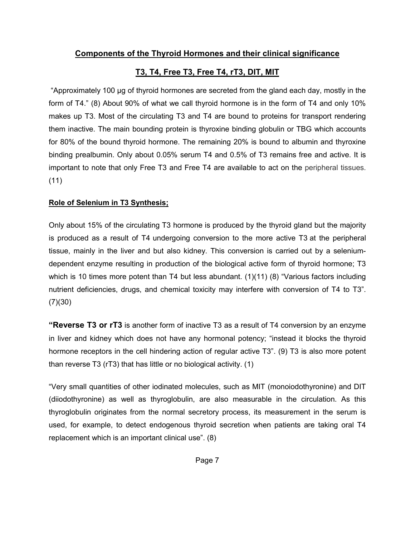#### Components of the Thyroid Hormones and their clinical significance

#### T3, T4, Free T3, Free T4, rT3, DIT, MIT

"Approximately 100 μg of thyroid hormones are secreted from the gland each day, mostly in the form of T4." (8) About 90% of what we call thyroid hormone is in the form of T4 and only 10% makes up T3. Most of the circulating T3 and T4 are bound to proteins for transport rendering them inactive. The main bounding protein is thyroxine binding globulin or TBG which accounts for 80% of the bound thyroid hormone. The remaining 20% is bound to albumin and thyroxine binding prealbumin. Only about 0.05% serum T4 and 0.5% of T3 remains free and active. It is important to note that only Free T3 and Free T4 are available to act on the peripheral tissues. (11)

#### Role of Selenium in T3 Synthesis;

Only about 15% of the circulating T3 hormone is produced by the thyroid gland but the majority is produced as a result of T4 undergoing conversion to the more active T3 at the peripheral tissue, mainly in the liver and but also kidney. This conversion is carried out by a seleniumdependent enzyme resulting in production of the biological active form of thyroid hormone; T3 which is 10 times more potent than T4 but less abundant.  $(1)(11)(8)$  "Various factors including nutrient deficiencies, drugs, and chemical toxicity may interfere with conversion of T4 to T3". (7)(30)

**"Reverse T3 or rT3** is another form of inactive T3 as a result of T4 conversion by an enzyme in liver and kidney which does not have any hormonal potency; "instead it blocks the thyroid hormone receptors in the cell hindering action of regular active T3". (9) T3 is also more potent than reverse T3 (rT3) that has little or no biological activity. (1)

"Very small quantities of other iodinated molecules, such as MIT (monoiodothyronine) and DIT (diiodothyronine) as well as thyroglobulin, are also measurable in the circulation. As this thyroglobulin originates from the normal secretory process, its measurement in the serum is used, for example, to detect endogenous thyroid secretion when patients are taking oral T4 replacement which is an important clinical use". (8)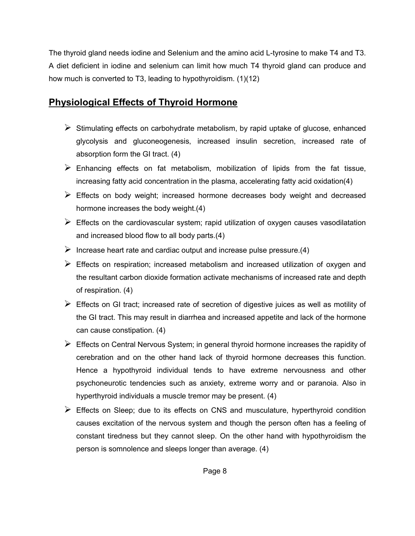The thyroid gland needs iodine and Selenium and the amino acid L-tyrosine to make T4 and T3. A diet deficient in iodine and selenium can limit how much T4 thyroid gland can produce and how much is converted to T3, leading to hypothyroidism. (1)(12)

# Physiological Effects of Thyroid Hormone

- $\triangleright$  Stimulating effects on carbohydrate metabolism, by rapid uptake of glucose, enhanced glycolysis and gluconeogenesis, increased insulin secretion, increased rate of absorption form the GI tract. (4)
- $\triangleright$  Enhancing effects on fat metabolism, mobilization of lipids from the fat tissue, increasing fatty acid concentration in the plasma, accelerating fatty acid oxidation(4)
- $\triangleright$  Effects on body weight; increased hormone decreases body weight and decreased hormone increases the body weight.(4)
- $\triangleright$  Effects on the cardiovascular system; rapid utilization of oxygen causes vasodilatation and increased blood flow to all body parts.(4)
- Increase heart rate and cardiac output and increase pulse pressure.  $(4)$
- $\triangleright$  Effects on respiration; increased metabolism and increased utilization of oxygen and the resultant carbon dioxide formation activate mechanisms of increased rate and depth of respiration. (4)
- $\triangleright$  Effects on GI tract; increased rate of secretion of digestive juices as well as motility of the GI tract. This may result in diarrhea and increased appetite and lack of the hormone can cause constipation. (4)
- $\triangleright$  Effects on Central Nervous System; in general thyroid hormone increases the rapidity of cerebration and on the other hand lack of thyroid hormone decreases this function. Hence a hypothyroid individual tends to have extreme nervousness and other psychoneurotic tendencies such as anxiety, extreme worry and or paranoia. Also in hyperthyroid individuals a muscle tremor may be present. (4)
- $\triangleright$  Effects on Sleep; due to its effects on CNS and musculature, hyperthyroid condition causes excitation of the nervous system and though the person often has a feeling of constant tiredness but they cannot sleep. On the other hand with hypothyroidism the person is somnolence and sleeps longer than average. (4)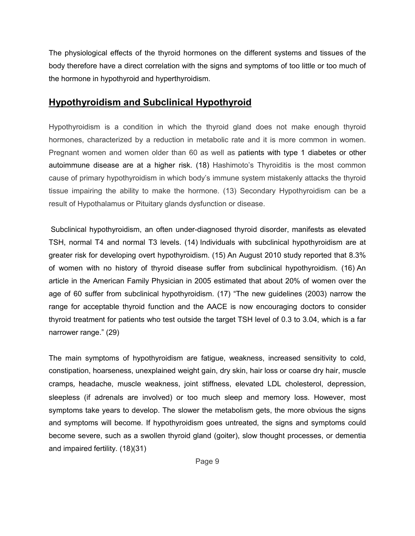The physiological effects of the thyroid hormones on the different systems and tissues of the body therefore have a direct correlation with the signs and symptoms of too little or too much of the hormone in hypothyroid and hyperthyroidism.

#### Hypothyroidism and Subclinical Hypothyroid

Hypothyroidism is a condition in which the thyroid gland does not make enough thyroid hormones, characterized by a reduction in metabolic rate and it is more common in women. Pregnant women and women older than 60 as well as patients with type 1 diabetes or other autoimmune disease are at a higher risk. (18) Hashimoto's Thyroiditis is the most common cause of primary hypothyroidism in which body's immune system mistakenly attacks the thyroid tissue impairing the ability to make the hormone. (13) Secondary Hypothyroidism can be a result of Hypothalamus or Pituitary glands dysfunction or disease.

Subclinical hypothyroidism, an often under-diagnosed thyroid disorder, manifests as elevated TSH, normal T4 and normal T3 levels. (14) Individuals with subclinical hypothyroidism are at greater risk for developing overt hypothyroidism. (15) An August 2010 study reported that 8.3% of women with no history of thyroid disease suffer from subclinical hypothyroidism. (16) An article in the American Family Physician in 2005 estimated that about 20% of women over the age of 60 suffer from subclinical hypothyroidism. (17) "The new guidelines (2003) narrow the range for acceptable thyroid function and the AACE is now encouraging doctors to consider thyroid treatment for patients who test outside the target TSH level of 0.3 to 3.04, which is a far narrower range." (29)

The main symptoms of hypothyroidism are fatigue, weakness, increased sensitivity to cold, constipation, hoarseness, unexplained weight gain, dry skin, hair loss or coarse dry hair, muscle cramps, headache, muscle weakness, joint stiffness, elevated LDL cholesterol, depression, sleepless (if adrenals are involved) or too much sleep and memory loss. However, most symptoms take years to develop. The slower the metabolism gets, the more obvious the signs and symptoms will become. If hypothyroidism goes untreated, the signs and symptoms could become severe, such as a swollen thyroid gland (goiter), slow thought processes, or dementia and impaired fertility. (18)(31)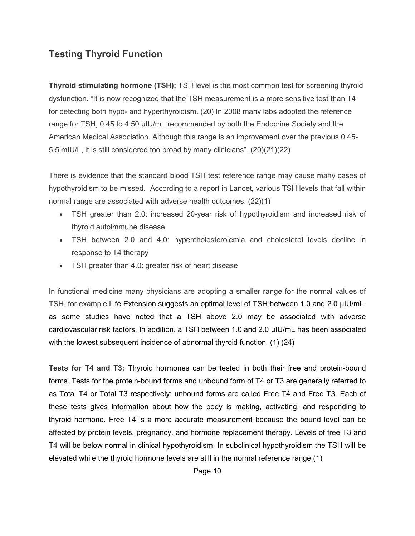## Testing Thyroid Function

Thyroid stimulating hormone (TSH); TSH level is the most common test for screening thyroid dysfunction. "It is now recognized that the TSH measurement is a more sensitive test than T4 for detecting both hypo- and hyperthyroidism. (20) In 2008 many labs adopted the reference range for TSH, 0.45 to 4.50 μIU/mL recommended by both the Endocrine Society and the American Medical Association. Although this range is an improvement over the previous 0.45- 5.5 mIU/L, it is still considered too broad by many clinicians". (20)(21)(22)

There is evidence that the standard blood TSH test reference range may cause many cases of hypothyroidism to be missed. According to a report in Lancet*,* various TSH levels that fall within normal range are associated with adverse health outcomes. (22)(1)

- TSH greater than 2.0: increased 20-year risk of hypothyroidism and increased risk of thyroid autoimmune disease
- TSH between 2.0 and 4.0: hypercholesterolemia and cholesterol levels decline in response to T4 therapy
- TSH greater than 4.0: greater risk of heart disease

In functional medicine many physicians are adopting a smaller range for the normal values of TSH, for example Life Extension suggests an optimal level of TSH between 1.0 and 2.0 µIU/mL, as some studies have noted that a TSH above 2.0 may be associated with adverse cardiovascular risk factors. In addition, a TSH between 1.0 and 2.0 µIU/mL has been associated with the lowest subsequent incidence of abnormal thyroid function. (1) (24)

Tests for T4 and T3; Thyroid hormones can be tested in both their free and protein-bound forms. Tests for the protein-bound forms and unbound form of T4 or T3 are generally referred to as Total T4 or Total T3 respectively; unbound forms are called Free T4 and Free T3. Each of these tests gives information about how the body is making, activating, and responding to thyroid hormone. Free T4 is a more accurate measurement because the bound level can be affected by protein levels, pregnancy, and hormone replacement therapy. Levels of free T3 and T4 will be below normal in clinical hypothyroidism. In subclinical hypothyroidism the TSH will be elevated while the thyroid hormone levels are still in the normal reference range (1)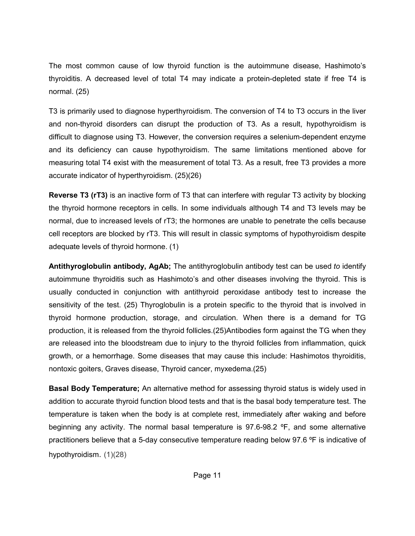The most common cause of low thyroid function is the autoimmune disease, Hashimoto's thyroiditis. A decreased level of total T4 may indicate a protein-depleted state if free T4 is normal. (25)

T3 is primarily used to diagnose hyperthyroidism. The conversion of T4 to T3 occurs in the liver and non-thyroid disorders can disrupt the production of T3. As a result, hypothyroidism is difficult to diagnose using T3. However, the conversion requires a selenium-dependent enzyme and its deficiency can cause hypothyroidism. The same limitations mentioned above for measuring total T4 exist with the measurement of total T3. As a result, free T3 provides a more accurate indicator of hyperthyroidism. (25)(26)

Reverse T3 (rT3) is an inactive form of T3 that can interfere with regular T3 activity by blocking the thyroid hormone receptors in cells. In some individuals although T4 and T3 levels may be normal, due to increased levels of rT3; the hormones are unable to penetrate the cells because cell receptors are blocked by rT3. This will result in classic symptoms of hypothyroidism despite adequate levels of thyroid hormone. (1)

Antithyroglobulin antibody, AgAb; The antithyroglobulin antibody test can be used *to* identify autoimmune thyroiditis such as Hashimoto's and other diseases involving the thyroid. This is usually conducted in conjunction with antithyroid peroxidase antibody test to increase the sensitivity of the test. (25) Thyroglobulin is a protein specific to the thyroid that is involved in thyroid hormone production, storage, and circulation. When there is a demand for TG production, it is released from the thyroid follicles.(25)Antibodies form against the TG when they are released into the bloodstream due to injury to the thyroid follicles from inflammation, quick growth, or a hemorrhage. Some diseases that may cause this include: Hashimotos thyroiditis, nontoxic goiters, Graves disease, Thyroid cancer, myxedema.(25)

Basal Body Temperature; An alternative method for assessing thyroid status is widely used in addition to accurate thyroid function blood tests and that is the basal body temperature test. The temperature is taken when the body is at complete rest, immediately after waking and before beginning any activity. The normal basal temperature is 97.6-98.2 ºF, and some alternative practitioners believe that a 5-day consecutive temperature reading below 97.6 ºF is indicative of hypothyroidism. (1)(28)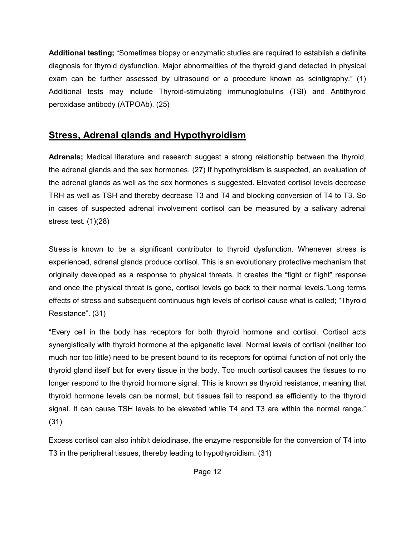Additional testing; "Sometimes biopsy or enzymatic studies are required to establish a definite diagnosis for thyroid dysfunction. Major abnormalities of the thyroid gland detected in physical exam can be further assessed by ultrasound or a procedure known as scintigraphy." (1) Additional tests may include Thyroid-stimulating immunoglobulins (TSI) and Antithyroid peroxidase antibody (ATPOAb). (25)

# Stress, Adrenal glands and Hypothyroidism

Adrenals; Medical literature and research suggest a strong relationship between the thyroid, the adrenal glands and the sex hormones. (27) If hypothyroidism is suspected, an evaluation of the adrenal glands as well as the sex hormones is suggested. Elevated cortisol levels decrease TRH as well as TSH and thereby decrease T3 and T4 and blocking conversion of T4 to T3. So in cases of suspected adrenal involvement cortisol can be measured by a salivary adrenal stress test.  $(1)(28)$ 

Stress is known to be a significant contributor to thyroid dysfunction. Whenever stress is experienced, adrenal glands produce cortisol. This is an evolutionary protective mechanism that originally developed as a response to physical threats. It creates the "fight or flight" response and once the physical threat is gone, cortisol levels go back to their normal levels."Long terms effects of stress and subsequent continuous high levels of cortisol cause what is called; "Thyroid Resistance". (31)

"Every cell in the body has receptors for both thyroid hormone and cortisol. Cortisol acts synergistically with thyroid hormone at the epigenetic level. Normal levels of cortisol (neither too much nor too little) need to be present bound to its receptors for optimal function of not only the thyroid gland itself but for every tissue in the body. Too much cortisol causes the tissues to no longer respond to the thyroid hormone signal. This is known as thyroid resistance, meaning that thyroid hormone levels can be normal, but tissues fail to respond as efficiently to the thyroid signal. It can cause TSH levels to be elevated while T4 and T3 are within the normal range." (31)

Excess cortisol can also inhibit deiodinase, the enzyme responsible for the conversion of T4 into T3 in the peripheral tissues, thereby leading to hypothyroidism. (31)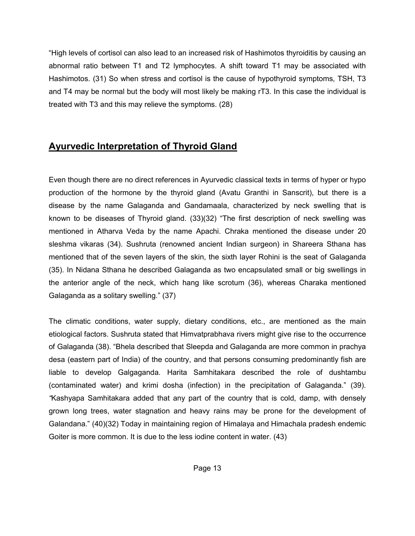"High levels of cortisol can also lead to an increased risk of Hashimotos thyroiditis by causing an abnormal ratio between T1 and T2 lymphocytes. A shift toward T1 may be associated with Hashimotos. (31) So when stress and cortisol is the cause of hypothyroid symptoms, TSH, T3 and T4 may be normal but the body will most likely be making rT3. In this case the individual is treated with T3 and this may relieve the symptoms. (28)

### Ayurvedic Interpretation of Thyroid Gland

Even though there are no direct references in Ayurvedic classical texts in terms of hyper or hypo production of the hormone by the thyroid gland (Avatu Granthi in Sanscrit), but there is a disease by the name Galaganda and Gandamaala, characterized by neck swelling that is known to be diseases of Thyroid gland. (33)(32) "The first description of neck swelling was mentioned in Atharva Veda by the name Apachi. Chraka mentioned the disease under 20 sleshma vikaras (34). Sushruta (renowned ancient Indian surgeon) in Shareera Sthana has mentioned that of the seven layers of the skin, the sixth layer Rohini is the seat of Galaganda (35). In Nidana Sthana he described Galaganda as two encapsulated small or big swellings in the anterior angle of the neck, which hang like scrotum (36), whereas Charaka mentioned Galaganda as a solitary swelling." (37)

The climatic conditions, water supply, dietary conditions, etc., are mentioned as the main etiological factors. Sushruta stated that Himvatprabhava rivers might give rise to the occurrence of Galaganda (38). "Bhela described that Sleepda and Galaganda are more common in prachya desa (eastern part of India) of the country, and that persons consuming predominantly fish are liable to develop Galgaganda. Harita Samhitakara described the role of dushtambu (contaminated water) and krimi dosha (infection) in the precipitation of Galaganda." (39). *"*Kashyapa Samhitakara added that any part of the country that is cold, damp, with densely grown long trees, water stagnation and heavy rains may be prone for the development of Galandana." (40)(32) Today in maintaining region of Himalaya and Himachala pradesh endemic Goiter is more common. It is due to the less iodine content in water. (43)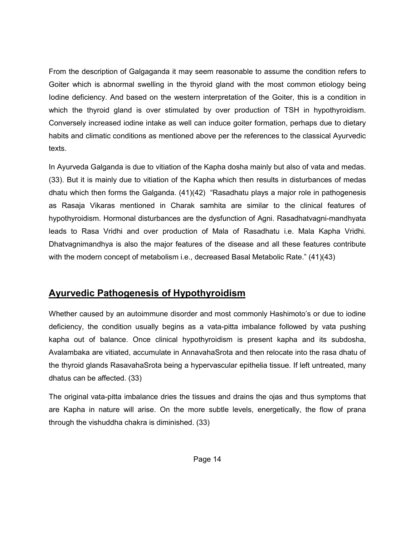From the description of Galgaganda it may seem reasonable to assume the condition refers to Goiter which is abnormal swelling in the thyroid gland with the most common etiology being Iodine deficiency. And based on the western interpretation of the Goiter, this is a condition in which the thyroid gland is over stimulated by over production of TSH in hypothyroidism. Conversely increased iodine intake as well can induce goiter formation, perhaps due to dietary habits and climatic conditions as mentioned above per the references to the classical Ayurvedic texts.

In Ayurveda Galganda is due to vitiation of the Kapha dosha mainly but also of vata and medas. (33). But it is mainly due to vitiation of the Kapha which then results in disturbances of medas dhatu which then forms the Galganda. (41)(42) "Rasadhatu plays a major role in pathogenesis as Rasaja Vikaras mentioned in Charak samhita are similar to the clinical features of hypothyroidism. Hormonal disturbances are the dysfunction of Agni. Rasadhatvagni-mandhyata leads to Rasa Vridhi and over production of Mala of Rasadhatu i.e. Mala Kapha Vridhi*.*  Dhatvagnimandhya is also the major features of the disease and all these features contribute with the modern concept of metabolism i.e., decreased Basal Metabolic Rate." (41)(43)

#### Ayurvedic Pathogenesis of Hypothyroidism

Whether caused by an autoimmune disorder and most commonly Hashimoto's or due to iodine deficiency, the condition usually begins as a vata-pitta imbalance followed by vata pushing kapha out of balance. Once clinical hypothyroidism is present kapha and its subdosha, Avalambaka are vitiated, accumulate in AnnavahaSrota and then relocate into the rasa dhatu of the thyroid glands RasavahaSrota being a hypervascular epithelia tissue. If left untreated, many dhatus can be affected. (33)

The original vata-pitta imbalance dries the tissues and drains the ojas and thus symptoms that are Kapha in nature will arise. On the more subtle levels, energetically, the flow of prana through the vishuddha chakra is diminished. (33)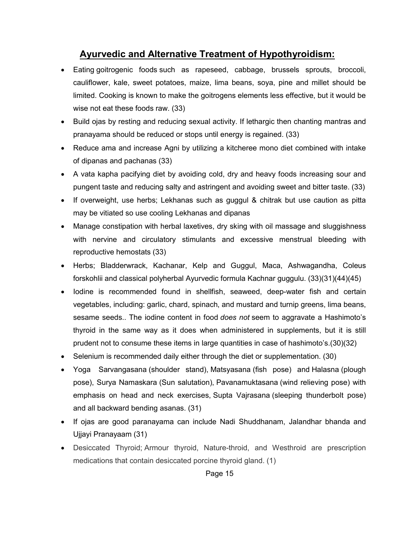# Ayurvedic and Alternative Treatment of Hypothyroidism:

- Eating goitrogenic foods such as rapeseed, cabbage, brussels sprouts, broccoli, cauliflower, kale, sweet potatoes, maize, lima beans, soya, pine and millet should be limited. Cooking is known to make the goitrogens elements less effective, but it would be wise not eat these foods raw. (33)
- Build ojas by resting and reducing sexual activity. If lethargic then chanting mantras and pranayama should be reduced or stops until energy is regained. (33)
- Reduce ama and increase Agni by utilizing a kitcheree mono diet combined with intake of dipanas and pachanas (33)
- A vata kapha pacifying diet by avoiding cold, dry and heavy foods increasing sour and pungent taste and reducing salty and astringent and avoiding sweet and bitter taste. (33)
- If overweight, use herbs; Lekhanas such as guggul & chitrak but use caution as pitta may be vitiated so use cooling Lekhanas and dipanas
- Manage constipation with herbal laxetives, dry sking with oil massage and sluggishness with nervine and circulatory stimulants and excessive menstrual bleeding with reproductive hemostats (33)
- Herbs; Bladderwrack, Kachanar, Kelp and Guggul, Maca, Ashwagandha, Coleus forskohlii and classical polyherbal Ayurvedic formula Kachnar guggulu. (33)(31)(44)(45)
- Iodine is recommended found in shellfish, seaweed, deep-water fish and certain vegetables, including: garlic, chard, spinach, and mustard and turnip greens, lima beans, sesame seeds.. The iodine content in food *does not* seem to aggravate a Hashimoto's thyroid in the same way as it does when administered in supplements, but it is still prudent not to consume these items in large quantities in case of hashimoto's.(30)(32)
- Selenium is recommended daily either through the diet or supplementation. (30)
- Yoga Sarvangasana (shoulder stand), Matsyasana (fish pose) and Halasna (plough pose), Surya Namaskara (Sun salutation), Pavanamuktasana (wind relieving pose) with emphasis on head and neck exercises, Supta Vajrasana (sleeping thunderbolt pose) and all backward bending asanas. (31)
- If ojas are good paranayama can include Nadi Shuddhanam, Jalandhar bhanda and Ujjayi Pranayaam (31)
- Desiccated Thyroid; Armour thyroid, Nature-throid, and Westhroid are prescription medications that contain desiccated porcine thyroid gland. (1)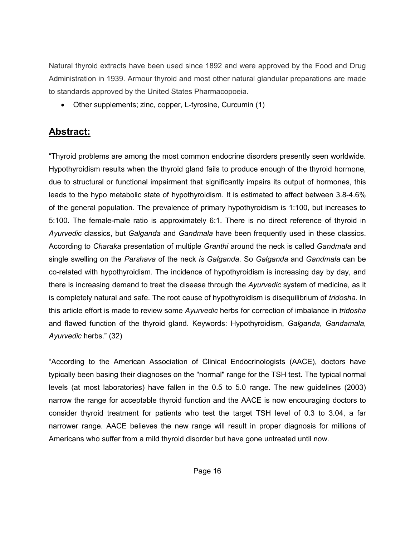Natural thyroid extracts have been used since 1892 and were approved by the Food and Drug Administration in 1939. Armour thyroid and most other natural glandular preparations are made to standards approved by the United States Pharmacopoeia.

Other supplements; zinc, copper, L-tyrosine, Curcumin (1)

# Abstract:

"Thyroid problems are among the most common endocrine disorders presently seen worldwide. Hypothyroidism results when the thyroid gland fails to produce enough of the thyroid hormone, due to structural or functional impairment that significantly impairs its output of hormones, this leads to the hypo metabolic state of hypothyroidism. It is estimated to affect between 3.8-4.6% of the general population. The prevalence of primary hypothyroidism is 1:100, but increases to 5:100. The female-male ratio is approximately 6:1. There is no direct reference of thyroid in *Ayurvedic* classics, but *Galganda* and *Gandmala* have been frequently used in these classics. According to *Charaka* presentation of multiple *Granthi* around the neck is called *Gandmala* and single swelling on the *Parshava* of the neck *is Galganda*. So *Galganda* and *Gandmala* can be co-related with hypothyroidism. The incidence of hypothyroidism is increasing day by day, and there is increasing demand to treat the disease through the *Ayurvedic* system of medicine, as it is completely natural and safe. The root cause of hypothyroidism is disequilibrium of *tridosha*. In this article effort is made to review some *Ayurvedic* herbs for correction of imbalance in *tridosha*  and flawed function of the thyroid gland. Keywords: Hypothyroidism, *Galganda*, *Gandamala*, *Ayurvedic* herbs." (32)

"According to the American Association of Clinical Endocrinologists (AACE), doctors have typically been basing their diagnoses on the "normal" range for the TSH test. The typical normal levels (at most laboratories) have fallen in the 0.5 to 5.0 range. The new guidelines (2003) narrow the range for acceptable thyroid function and the AACE is now encouraging doctors to consider thyroid treatment for patients who test the target TSH level of 0.3 to 3.04, a far narrower range. AACE believes the new range will result in proper diagnosis for millions of Americans who suffer from a mild thyroid disorder but have gone untreated until now.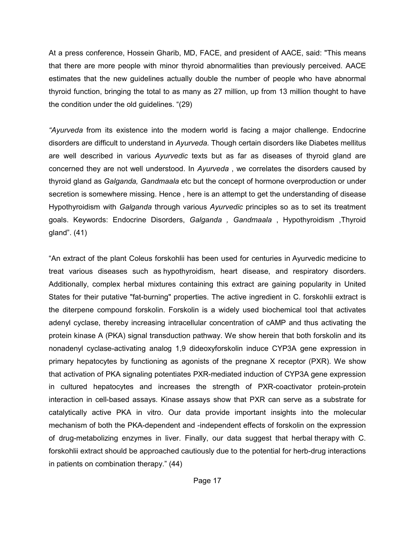At a press conference, Hossein Gharib, MD, FACE, and president of AACE, said: "This means that there are more people with minor thyroid abnormalities than previously perceived. AACE estimates that the new guidelines actually double the number of people who have abnormal thyroid function, bringing the total to as many as 27 million, up from 13 million thought to have the condition under the old guidelines. "(29)

*"Ayurveda* from its existence into the modern world is facing a major challenge. Endocrine disorders are difficult to understand in *Ayurveda*. Though certain disorders like Diabetes mellitus are well described in various *Ayurvedic* texts but as far as diseases of thyroid gland are concerned they are not well understood. In *Ayurveda* , we correlates the disorders caused by thyroid gland as *Galganda, Gandmaala* etc but the concept of hormone overproduction or under secretion is somewhere missing. Hence , here is an attempt to get the understanding of disease Hypothyroidism with *Galganda* through various *Ayurvedic* principles so as to set its treatment goals. Keywords: Endocrine Disorders, *Galganda , Gandmaala* , Hypothyroidism ,Thyroid gland". (41)

"An extract of the plant Coleus forskohlii has been used for centuries in Ayurvedic medicine to treat various diseases such as hypothyroidism, heart disease, and respiratory disorders. Additionally, complex herbal mixtures containing this extract are gaining popularity in United States for their putative "fat-burning" properties. The active ingredient in C. forskohlii extract is the diterpene compound forskolin. Forskolin is a widely used biochemical tool that activates adenyl cyclase, thereby increasing intracellular concentration of cAMP and thus activating the protein kinase A (PKA) signal transduction pathway. We show herein that both forskolin and its nonadenyl cyclase-activating analog 1,9 dideoxyforskolin induce CYP3A gene expression in primary hepatocytes by functioning as agonists of the pregnane X receptor (PXR). We show that activation of PKA signaling potentiates PXR-mediated induction of CYP3A gene expression in cultured hepatocytes and increases the strength of PXR-coactivator protein-protein interaction in cell-based assays. Kinase assays show that PXR can serve as a substrate for catalytically active PKA in vitro. Our data provide important insights into the molecular mechanism of both the PKA-dependent and -independent effects of forskolin on the expression of drug-metabolizing enzymes in liver. Finally, our data suggest that herbal therapy with C. forskohlii extract should be approached cautiously due to the potential for herb-drug interactions in patients on combination therapy." (44)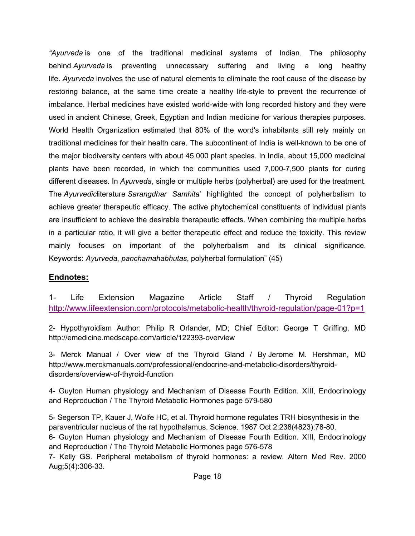*"Ayurveda* is one of the traditional medicinal systems of Indian. The philosophy behind *Ayurveda* is preventing unnecessary suffering and living a long healthy life. *Ayurveda* involves the use of natural elements to eliminate the root cause of the disease by restoring balance, at the same time create a healthy life-style to prevent the recurrence of imbalance. Herbal medicines have existed world-wide with long recorded history and they were used in ancient Chinese, Greek, Egyptian and Indian medicine for various therapies purposes. World Health Organization estimated that 80% of the word's inhabitants still rely mainly on traditional medicines for their health care. The subcontinent of India is well-known to be one of the major biodiversity centers with about 45,000 plant species. In India, about 15,000 medicinal plants have been recorded, in which the communities used 7,000-7,500 plants for curing different diseases. In *Ayurveda*, single or multiple herbs (polyherbal) are used for the treatment. The *Ayurvedic*literature *Sarangdhar Samhita*' highlighted the concept of polyherbalism to achieve greater therapeutic efficacy. The active phytochemical constituents of individual plants are insufficient to achieve the desirable therapeutic effects. When combining the multiple herbs in a particular ratio, it will give a better therapeutic effect and reduce the toxicity. This review mainly focuses on important of the polyherbalism and its clinical significance. Keywords: *Ayurveda*, *panchamahabhutas*, polyherbal formulation" (45)

#### Endnotes:

1- Life Extension Magazine Article Staff / Thyroid Regulation http://www.lifeextension.com/protocols/metabolic-health/thyroid-regulation/page-01?p=1

2- Hypothyroidism Author: Philip R Orlander, MD; Chief Editor: George T Griffing, MD http://emedicine.medscape.com/article/122393-overview

3- Merck Manual / Over view of the Thyroid Gland / By Jerome M. Hershman, MD http://www.merckmanuals.com/professional/endocrine-and-metabolic-disorders/thyroiddisorders/overview-of-thyroid-function

4- Guyton Human physiology and Mechanism of Disease Fourth Edition. XIII, Endocrinology and Reproduction / The Thyroid Metabolic Hormones page 579-580

5- Segerson TP, Kauer J, Wolfe HC, et al. Thyroid hormone regulates TRH biosynthesis in the paraventricular nucleus of the rat hypothalamus. Science. 1987 Oct 2;238(4823):78-80. 6- Guyton Human physiology and Mechanism of Disease Fourth Edition. XIII, Endocrinology and Reproduction / The Thyroid Metabolic Hormones page 576-578

7- Kelly GS. Peripheral metabolism of thyroid hormones: a review. Altern Med Rev. 2000 Aug;5(4):306-33.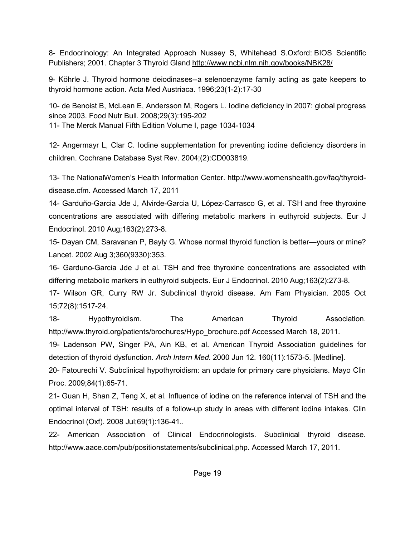8- Endocrinology: An Integrated Approach Nussey S, Whitehead S.Oxford: BIOS Scientific Publishers; 2001. Chapter 3 Thyroid Gland http://www.ncbi.nlm.nih.gov/books/NBK28/

9- Köhrle J. Thyroid hormone deiodinases--a selenoenzyme family acting as gate keepers to thyroid hormone action. Acta Med Austriaca. 1996;23(1-2):17-30

10- de Benoist B, McLean E, Andersson M, Rogers L. Iodine deficiency in 2007: global progress since 2003. Food Nutr Bull. 2008;29(3):195-202 11- The Merck Manual Fifth Edition Volume I, page 1034-1034

12- Angermayr L, Clar C. Iodine supplementation for preventing iodine deficiency disorders in children. Cochrane Database Syst Rev. 2004;(2):CD003819.

13- The NationalWomen's Health Information Center. http://www.womenshealth.gov/faq/thyroiddisease.cfm. Accessed March 17, 2011

14- Garduño-Garcia Jde J, Alvirde-Garcia U, López-Carrasco G, et al. TSH and free thyroxine concentrations are associated with differing metabolic markers in euthyroid subjects. Eur J Endocrinol. 2010 Aug;163(2):273-8.

15- Dayan CM, Saravanan P, Bayly G. Whose normal thyroid function is better—yours or mine? Lancet. 2002 Aug 3;360(9330):353.

16- Garduno-Garcia Jde J et al. TSH and free thyroxine concentrations are associated with differing metabolic markers in euthyroid subjects. Eur J Endocrinol. 2010 Aug;163(2):273-8.

17- Wilson GR, Curry RW Jr. Subclinical thyroid disease. Am Fam Physician. 2005 Oct 15;72(8):1517-24.

18- Hypothyroidism. The American Thyroid Association. http://www.thyroid.org/patients/brochures/Hypo\_brochure.pdf Accessed March 18, 2011.

19- Ladenson PW, Singer PA, Ain KB, et al. American Thyroid Association guidelines for detection of thyroid dysfunction. *Arch Intern Med*. 2000 Jun 12. 160(11):1573-5. [Medline].

20- Fatourechi V. Subclinical hypothyroidism: an update for primary care physicians. Mayo Clin Proc. 2009;84(1):65-71.

21- Guan H, Shan Z, Teng X, et al. Influence of iodine on the reference interval of TSH and the optimal interval of TSH: results of a follow-up study in areas with different iodine intakes. Clin Endocrinol (Oxf). 2008 Jul;69(1):136-41..

22- American Association of Clinical Endocrinologists. Subclinical thyroid disease. http://www.aace.com/pub/positionstatements/subclinical.php. Accessed March 17, 2011.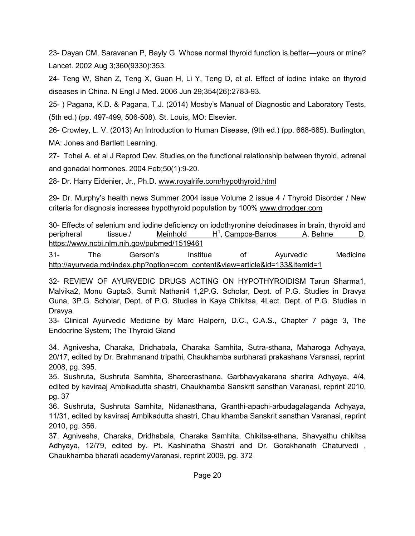23- Dayan CM, Saravanan P, Bayly G. Whose normal thyroid function is better—yours or mine? Lancet. 2002 Aug 3;360(9330):353.

24- Teng W, Shan Z, Teng X, Guan H, Li Y, Teng D, et al. Effect of iodine intake on thyroid diseases in China. N Engl J Med. 2006 Jun 29;354(26):2783-93.

25- ) Pagana, K.D. & Pagana, T.J. (2014) Mosby's Manual of Diagnostic and Laboratory Tests, (5th ed.) (pp. 497-499, 506-508). St. Louis, MO: Elsevier.

26- Crowley, L. V. (2013) An Introduction to Human Disease, (9th ed.) (pp. 668-685). Burlington, MA: Jones and Bartlett Learning.

27- Tohei A. et al J Reprod Dev. Studies on the functional relationship between thyroid, adrenal and gonadal hormones. 2004 Feb;50(1):9-20.

28- Dr. Harry Eidenier, Jr., Ph.D. www.royalrife.com/hypothyroid.html

29- Dr. Murphy's health news Summer 2004 issue Volume 2 issue 4 / Thyroid Disorder / New criteria for diagnosis increases hypothyroid population by 100% www.drrodger.com

30- Effects of selenium and iodine deficiency on iodothyronine deiodinases in brain, thyroid and peripheral tissue./ Meinhold  $H^1$ , Campos-Barros A, Behne D. https://www.ncbi.nlm.nih.gov/pubmed/1519461

31- The Gerson's Institue of Ayurvedic Medicine http://ayurveda.md/index.php?option=com\_content&view=article&id=133&Itemid=1

32- REVIEW OF AYURVEDIC DRUGS ACTING ON HYPOTHYROIDISM Tarun Sharma1, Malvika2, Monu Gupta3, Sumit Nathani4 1,2P.G. Scholar, Dept. of P.G. Studies in Dravya Guna, 3P.G. Scholar, Dept. of P.G. Studies in Kaya Chikitsa, 4Lect. Dept. of P.G. Studies in Dravya

33- Clinical Ayurvedic Medicine by Marc Halpern, D.C., C.A.S., Chapter 7 page 3, The Endocrine System; The Thyroid Gland

34. Agnivesha, Charaka, Dridhabala, Charaka Samhita, Sutra-sthana, Maharoga Adhyaya, 20/17, edited by Dr. Brahmanand tripathi, Chaukhamba surbharati prakashana Varanasi, reprint 2008, pg. 395.

35. Sushruta, Sushruta Samhita, Shareerasthana, Garbhavyakarana sharira Adhyaya, 4/4, edited by kaviraaj Ambikadutta shastri, Chaukhamba Sanskrit sansthan Varanasi, reprint 2010, pg. 37

36. Sushruta, Sushruta Samhita, Nidanasthana, Granthi-apachi-arbudagalaganda Adhyaya, 11/31, edited by kaviraaj Ambikadutta shastri, Chau khamba Sanskrit sansthan Varanasi, reprint 2010, pg. 356.

37. Agnivesha, Charaka, Dridhabala, Charaka Samhita, Chikitsa-sthana, Shavyathu chikitsa Adhyaya, 12/79, edited by. Pt. Kashinatha Shastri and Dr. Gorakhanath Chaturvedi , Chaukhamba bharati academyVaranasi, reprint 2009, pg. 372